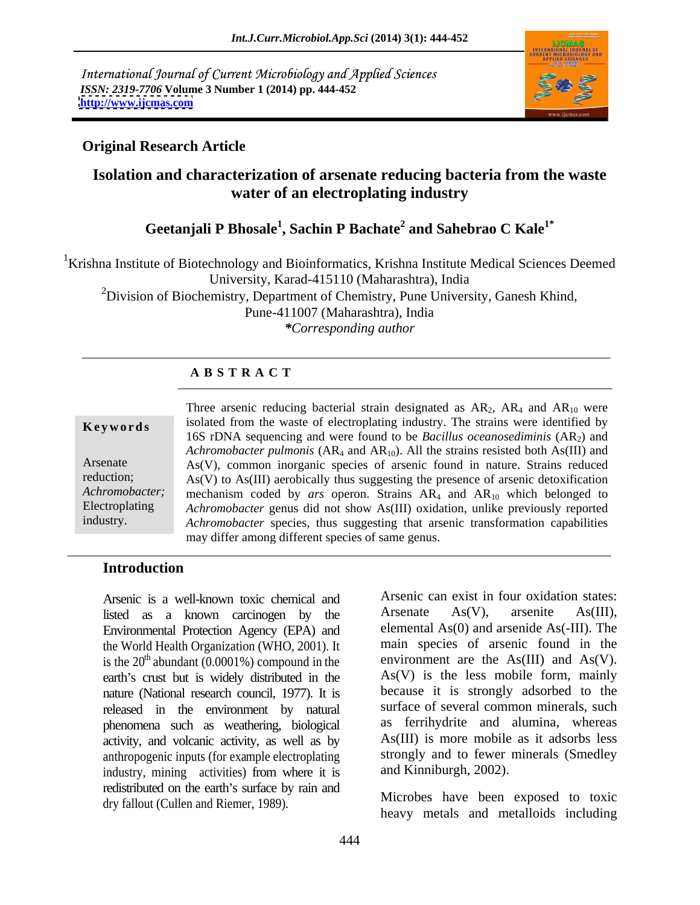International Journal of Current Microbiology and Applied Sciences *ISSN: 2319-7706* **Volume 3 Number 1 (2014) pp. 444-452 <http://www.ijcmas.com>**



# **Original Research Article**

# **Isolation and characterization of arsenate reducing bacteria from the waste water of an electroplating industry**

### **Geetanjali P Bhosale<sup>1</sup> , Sachin P Bachate<sup>2</sup> and Sahebrao C Kale1\***

<sup>1</sup>Krishna Institute of Biotechnology and Bioinformatics, Krishna Institute Medical Sciences Deemed University, Karad-415110 (Maharashtra), India

 $2$ Division of Biochemistry, Department of Chemistry, Pune University, Ganesh Khind, Pune-411007 (Maharashtra), India

*\*Corresponding author* 

### **A B S T R A C T**

|                | Three arsenic reducing bacterial strain designated as $AR_2$ , $AR_4$ and $AR_{10}$ were   |
|----------------|--------------------------------------------------------------------------------------------|
| Keywords       | isolated from the waste of electroplating industry. The strains were identified by         |
|                | 16S rDNA sequencing and were found to be <i>Bacillus oceanosediminis</i> $(AR2)$ and       |
|                | Achromobacter pulmonis ( $AR_4$ and $AR_{10}$ ). All the strains resisted both As(III) and |
| Arsenate       | $As(V)$ , common inorganic species of arsenic found in nature. Strains reduced             |
| reduction;     | $As(V)$ to $As(III)$ aerobically thus suggesting the presence of arsenic detoxification    |
| Achromobacter; | mechanism coded by ars operon. Strains $AR_4$ and $AR_{10}$ which belonged to              |
| Electroplating | Achromobacter genus did not show As(III) oxidation, unlike previously reported             |
| industry.      | Achromobacter species, thus suggesting that arsenic transformation capabilities            |
|                | may differ among different species of same genus.                                          |

### **Introduction**

listed as a known carcinogen by the Environmental Protection Agency (EPA) and the World Health Organization (WHO, 2001). It is the  $20<sup>th</sup>$  abundant (0.0001%) compound in the earth's crust but is widely distributed in the nature (National research council, 1977). It is released in the environment by natural phenomena such as weathering, biological activity, and volcanic activity, as well as by anthropogenic inputs (for example electroplating industry, mining activities) from where it is redistributed on the earth's surface by rain and dry fallout (Cullen and Riemer, 1989).

Arsenic is a well-known toxic chemical and Arsenic can exist in four oxidation states:<br>listed as a known carrinogen by the Arsenate As(V), arsenite As(III). Arsenic can exist in four oxidation states: Arsenate As(V), arsenite As(III), elemental As(0) and arsenide As(-III). The main species of arsenic found in the environment are the As(III) and As(V). As(V) is the less mobile form, mainly because it is strongly adsorbed to the surface of several common minerals, such as ferrihydrite and alumina, whereas As(III) is more mobile as it adsorbs less strongly and to fewer minerals (Smedley and Kinniburgh, 2002).

> Microbes have been exposed to toxic heavy metals and metalloids including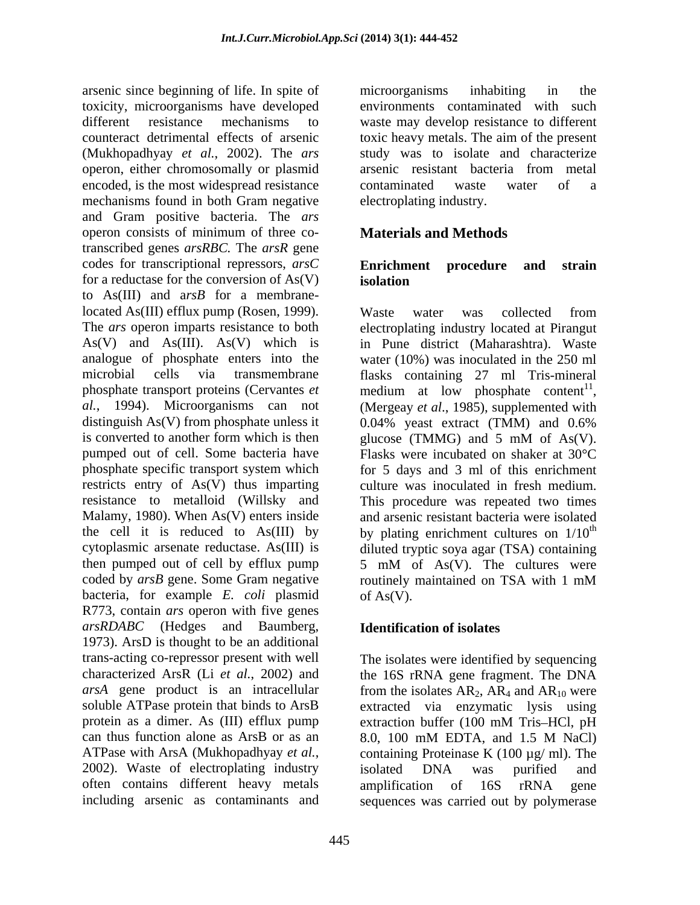arsenic since beginning of life. In spite of microorganisms inhabiting in the toxicity, microorganisms have developed different resistance mechanisms to waste may develop resistance to different counteract detrimental effects of arsenic toxic heavy metals. The aim of the present (Mukhopadhyay *et al.*, 2002). The *ars* operon, either chromosomally or plasmid encoded, is the most widespread resistance contaminated waste water of a mechanisms found in both Gram negative and Gram positive bacteria. The *ars*  operon consists of minimum of three co-<br> **Materials and Methods** transcribed genes *arsRBC.* The *arsR* gene codes for transcriptional repressors,*arsC*  for a reductase for the conversion of  $As(V)$  isolation to As(III) and a*rsB* for a membranelocated As(III) efflux pump (Rosen, 1999). The *ars* operon imparts resistance to both electroplating industry located at Pirangut As(V) and As(III). As(V) which is in Pune district (Maharashtra). Waste analogue of phosphate enters into the water (10%) was inoculated in the 250 ml microbial cells via transmembrane flasks containing 27 ml Tris-mineral phosphate transport proteins (Cervantes  $et$  medium at low phosphate content<sup>11</sup>, *al.*, 1994). Microorganisms can not (Mergeay et al., 1985), supplemented with distinguish As(V) from phosphate unless it  $0.04\%$  yeast extract (TMM) and 0.6% is converted to another form which is then  $glucose (TMMG)$  and 5 mM of As(V). pumped out of cell. Some bacteria have phosphate specific transport system which restricts entry of As(V) thus imparting culture was inoculated in fresh medium. resistance to metalloid (Willsky and This procedure was repeated two times Malamy, 1980). When As(V) enters inside and arsenic resistant bacteria were isolated the cell it is reduced to As(III) by by plating enrichment cultures on  $1/10^{th}$ cytoplasmic arsenate reductase. As(III) is diluted tryptic soya agar (TSA) containing then pumped out of cell by efflux pump 5 mM of As(V). The cultures were coded by *arsB* gene. Some Gram negative routinely maintained on TSA with 1 mM bacteria, for example *E. coli* plasmid R773, contain *ars* operon with five genes *arsRDABC* (Hedges and Baumberg, 1973). ArsD is thought to be an additional trans-acting co-repressor present with well The isolates were identified by sequencing characterized ArsR (Li *et al.*, 2002) and the 16S rRNA gene fragment. The DNA *arsA* gene product is an intracellular from the isolates  $AR_2$ ,  $AR_4$  and  $AR_{10}$  were soluble ATPase protein that binds to ArsB extracted via enzymatic lysis using protein as a dimer. As (III) efflux pump extraction buffer (100 mM Tris-HCl, pH can thus function alone as ArsB or as an and 8.0, 100 mM EDTA, and 1.5 M NaCl) ATPase with ArsA (Mukhopadhyay *et al.*, containing Proteinase K (100 µg/ ml). The 2002). Waste of electroplating industry isolated DNA was purified and often contains different heavy metals amplification of 16S rRNA gene

microorganisms inhabiting in the environments contaminated with such study was to isolate and characterize arsenic resistant bacteria from metal contaminated waste water of a electroplating industry.

# **Materials and Methods**

## **Enrichment procedure and strain isolation**

Waste water was collected from medium at low phosphate content<sup>11</sup>,<br>(Mergeay *et al.*, 1985), supplemented with 0.04% yeast extract (TMM) and 0.6% glucose (TMMG) and 5 mM of As(V). Flasks were incubated on shaker at 30°C for 5 days and 3 ml of this enrichment the contract of the contract of the contract of the contract of the contract of the contract of the contract of the contract of the contract of the contract of the contract of the contract of the contract of the contract o routinely maintained on TSA with 1 mM of  $As(V)$ .

# **Identification of isolates**

including arsenic as contaminants and sequences was carried out by polymeraseextraction buffer (100 mM Tris-HCl, pH 8.0, 100 mM EDTA, and 1.5 M NaCl) containing Proteinase K (100  $\mu$ g/ ml). The isolated DNA was purified and amplification of 16S rRNA gene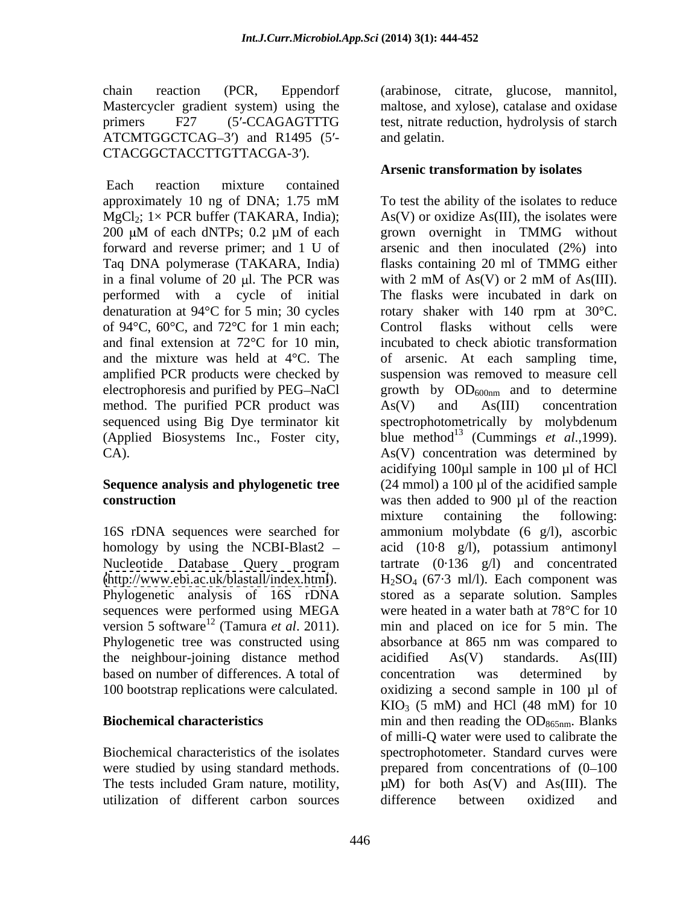$ATCMTGGCTCAG-3'$  and  $R1495$  (5'- and gelatin. CTACGGCTACCTTGTTACGA-3').

Each reaction mixture contained forward and reverse primer; and 1 U of Taq DNA polymerase (TAKARA, India) in a final volume of 20  $\mu$ l. The PCR was with 2 mM of As(V) or 2 mM of As(III). performed with a cycle of initial denaturation at  $94^{\circ}$ C for 5 min; 30 cycles rotary shaker with 140 rpm at 30 $^{\circ}$ C. of 94°C, 60°C, and 72°C for 1 min each; Control flasks without cells were and final extension at 72°C for 10 min, method. The purified PCR product was  $As(V)$  and  $As(III)$  concentration sequenced using Big Dye terminator kit spectrophotometrically by molybdenum (Applied Biosystems Inc., Foster city,

Phylogenetic analysis of 16S rDNA sequences were performed using MEGA Phylogenetic tree was constructed using absorbance at 865 nm was compared to the neighbour-joining distance method acidified As(V) standards. As(III)

utilization of different carbon sources

chain reaction (PCR, Eppendorf (arabinose, citrate, glucose, mannitol, Mastercycler gradient system) using the maltose, and xylose), catalase and oxidase primers F27 (5'-CCAGAGTTTG test, nitrate reduction, hydrolysis of starch and gelatin.

# **Arsenic transformation by isolates**

approximately 10 ng of DNA; 1.75 mM To test the ability of the isolates to reduce  $MgCl_2$ ; 1× PCR buffer (TAKARA, India); As(V) or oxidize As(III), the isolates were 200  $\mu$ M of each dNTPs; 0.2  $\mu$ M of each grown overnight in TMMG without and the mixture was held at 4°C. The of arsenic. At each sampling time, amplified PCR products were checked by suspension was removed to measure cell electrophoresis and purified by PEG-NaCl  $\qquad \qquad$  growth by  $OD_{600nm}$  and to determine CA). As(V) concentration was determined by **Sequence analysis and phylogenetic tree**  (24 mmol) a 100 µl of the acidified sample **construction** was then added to 900 µl of the reaction 16S rDNA sequences were searched for ammonium molybdate (6 g/l), ascorbic homology by using the NCBI-Blast2 – acid (10·8 g/l), potassium antimonyl Nucleotide Database Query program tartrate (0·136 g/l) and concentrated [\(http://www.ebi.ac.uk/blastall/index.html](http://www.ebi.ac.uk/blastall/index.html)).  $H_2SO_4$  (67.3 ml/l). Each component was version 5 software<sup>12</sup> (Tamura *et al.* 2011). min and placed on ice for 5 min. The based on number of differences. A total of concentration was determined by 100 bootstrap replications were calculated. oxidizing a second sample in 100 µl of **Biochemical characteristics** min and then reading the OD<sub>865nm</sub>. Blanks Biochemical characteristics of the isolates spectrophotometer. Standard curves were were studied by using standard methods.  $\blacksquare$  prepared from concentrations of  $(0-100)$ The tests included Gram nature, motility,  $\mu$ M) for both As(V) and As(III). The To test the ability of the isolates to reduce grown overnight in TMMG without arsenic and then inoculated (2%) into flasks containing 20 ml of TMMG either with 2 mM of As(V) or 2 mM of As(III). The flasks were incubated in dark on rotary shaker with 140 rpm at 30°C. Control flasks without cells were incubated to check abiotic transformation As(V) and As(III) concentration spectrophotometrically by molybdenum blue method <sup>13</sup> (Cummings *et al*.,1999). acidifying 100µl sample in 100 µl of HCl mixture containing the following: stored as a separate solution. Samples were heated in a water bath at 78°C for 10 absorbance at 865 nm was compared to acidified As(V) standards. As(III) concentration was determined by  $KIO<sub>3</sub>$  (5 mM) and HCl (48 mM) for 10 of milli-Q water were used to calibrate the difference between oxidized and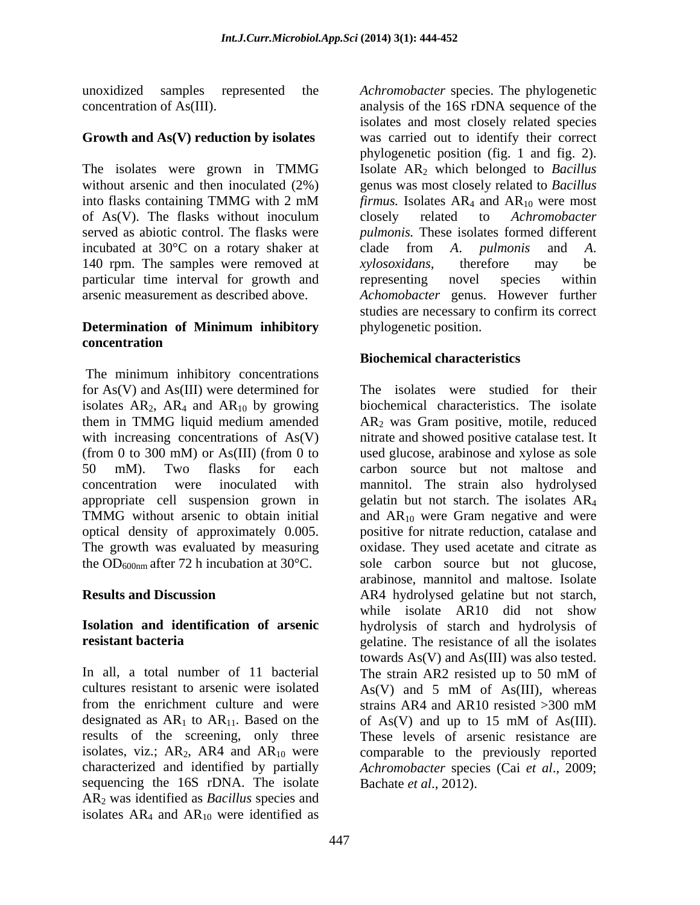### **Growth and As(V) reduction by isolates**

The isolates were grown in TMMG incubated at  $30^{\circ}$ C on a rotary shaker at clade from A. *pulmonis* and A. 140 rpm. The samples were removed at *xylosoxidans*, therefore may be particular time interval for growth and

### **Determination of Minimum inhibitory concentration**

The minimum inhibitory concentrations for As(V) and As(III) were determined for TMMG without arsenic to obtain initial and  $AR_{10}$  were Gram negative and were the OD<sub>600nm</sub> after 72 h incubation at  $30^{\circ}$ C.

In all, a total number of 11 bacterial The strain AR2 resisted up to 50 mM of cultures resistant to arsenic were isolated As(V) and 5 mM of As(III), whereas from the enrichment culture and were strains AR4 and AR10 resisted  $>300$  mM designated as  $AR_1$  to  $AR_{11}$ . Based on the of  $As(V)$  and up to 15 mM of As(III).<br>results of the screening, only three These levels of arsenic resistance are characterized and identified by partially sequencing the 16S rDNA. The isolate AR2 was identified as *Bacillus* species and isolates  $AR_4$  and  $AR_{10}$  were identified as

unoxidized samples represented the *Achromobacter* species. The phylogenetic concentration of As(III). analysis of the 16S rDNA sequence of the without arsenic and then inoculated (2%) genus was most closely related to *Bacillus* into flasks containing TMMG with 2 mM  $firmus$ . Isolates  $AR_4$  and  $AR_{10}$  were most of As(V). The flasks without inoculum closely related to Achromobacter served as abiotic control. The flasks were *pulmonis.* These isolates formed different arsenic measurement as described above. *Achomobacter* genus. However further isolates and most closely related species was carried out to identify their correct phylogenetic position (fig. 1 and fig. 2). Isolate AR2 which belonged to *Bacillus firmus.* Isolates  $AR_4$  and  $AR_{10}$  were most closely related to *Achromobacter*  clade from *A*. *pulmonis* and *A*. *xylosoxidans*, therefore may be representing novel species within studies are necessary to confirm its correct phylogenetic position.

# **Biochemical characteristics**

isolates  $AR_2$ ,  $AR_4$  and  $AR_{10}$  by growing biochemical characteristics. The isolate them in TMMG liquid medium amended AR2 was Gram positive, motile, reduced with increasing concentrations of As(V) mitrate and showed positive catalase test. It (from 0 to 300 mM) or As(III) (from 0 to used glucose, arabinose and xylose as sole 50 mM). Two flasks for each carbon source but not maltose and concentration were inoculated with mannitol. The strain also hydrolysed appropriate cell suspension grown in gelatin but not starch. The isolates AR4 optical density of approximately 0.005. positive for nitrate reduction, catalase and The growth was evaluated by measuring oxidase. They used acetate and citrate as **Results and Discussion** AR4 hydrolysed gelatine but not starch, **Isolation and identification of arsenic** hydrolysis of starch and hydrolysis of **resistant bacteria** expressed a set of a set of a set of a set of all the isolates results of the screening, only three These levels of arsenic resistance are isolates, viz.;  $AR_2$ ,  $AR_4$  and  $AR_{10}$  were comparable to the previously reported The isolates were studied for their and  $AR_{10}$  were Gram negative and were sole carbon source but not glucose, arabinose, mannitol and maltose. Isolate while isolate AR10 did not show towards As(V) and As(III) was also tested. The strain AR2 resisted up to 50 mM of As(V) and 5 mM of As(III), whereas strains AR4 and AR10 resisted >300 mM of As(V) and up to 15 mM of As(III). *Achromobacter* species (Cai *et al*., 2009; Bachate *et al*., 2012).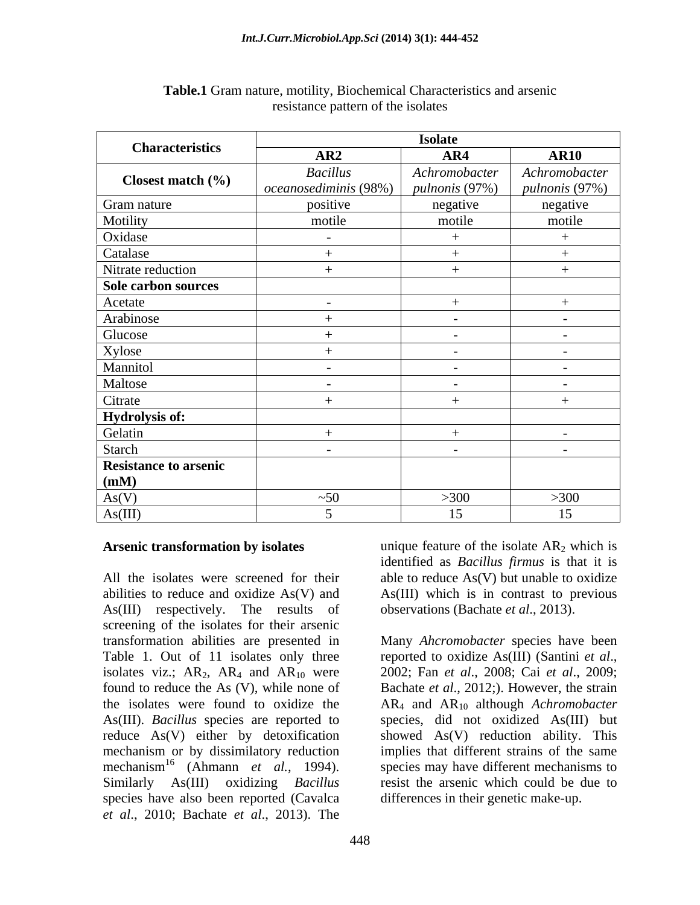| <b>Characteristics</b>       | <b>Isolate</b>                           |                                        |                                 |
|------------------------------|------------------------------------------|----------------------------------------|---------------------------------|
|                              | AR2                                      | AR4                                    | <b>AR10</b>                     |
| Closest match (%)            | <b>Bacillus</b><br>oceanosediminis (98%) | Achromobacter<br><i>pulnonis</i> (97%) | Achromobacter<br>pulnonis (97%) |
| Gram nature                  | positive                                 | negative                               | negative                        |
| Motility                     | motile                                   | motile                                 | motile                          |
| Oxidase                      | $\sim$                                   |                                        |                                 |
| Catalase                     |                                          |                                        |                                 |
| Nitrate reduction            |                                          |                                        |                                 |
| Sole carbon sources          |                                          |                                        |                                 |
| Acetate                      | $\overline{\phantom{0}}$                 |                                        |                                 |
| Arabinose                    |                                          | $\sim$                                 | $\sim$                          |
| Glucose                      |                                          | $\sim$                                 | $\sim$ $-$                      |
| Xylose                       |                                          | $\sim$                                 | $\sim$ $-$                      |
| Mannitol                     | $\overline{\phantom{0}}$                 | $\sim$                                 | $\sim$ $-$                      |
| Maltose                      | $\overline{\phantom{0}}$                 | $\sim$                                 | $\sim$                          |
| Citrate                      |                                          | $^{+}$                                 |                                 |
| Hydrolysis of:               |                                          |                                        |                                 |
| Gelatin                      |                                          |                                        | $\sim$                          |
| Starch                       | $\sim$                                   | $\sim$                                 | $\sim$                          |
| <b>Resistance to arsenic</b> |                                          |                                        |                                 |
| (mM)                         |                                          |                                        |                                 |
| As(V)                        | ~50                                      | >300                                   | >300                            |
| As(III)                      |                                          | 15                                     | 15                              |

### **Table.1** Gram nature, motility, Biochemical Characteristics and arsenic resistance pattern of the isolates

All the isolates were screened for their able to reduce As(V) but unable to oxidize abilities to reduce and oxidize As(V) and As(III) which is in contrast to previous As(III) respectively. The results of screening of the isolates for their arsenic Table 1. Out of 11 isolates only three isolates viz.;  $AR_2$ ,  $AR_4$  and  $AR_{10}$  were found to reduce the As (V), while none of As(III). *Bacillus* species are reported to reduce As(V) either by detoxification mechanism<sup>16</sup> (Ahmann *et al.*, 1994). species have also been reported (Cavalca *et al*., 2010; Bachate *et al*., 2013). The

**Arsenic transformation by isolates** unique feature of the isolate AR<sub>2</sub> which is identified as *Bacillus firmus* is that it is observations (Bachate *et al*., 2013).

transformation abilities are presented in Many *Ahcromobacter* species have been found to reduce the As (V), while none of Bachate *et al.*, 2012;). However, the strain the isolates were found to oxidize the AR<sub>4</sub> and AR<sub>10</sub> although *Achromobacter* mechanism or by dissimilatory reduction implies that different strains of the same Similarly As(III) oxidizing *Bacillus* resist the arsenic which could be due to reported to oxidize As(III) (Santini *et al*., 2002; Fan *et al*., 2008; Cai *et al*., 2009; species, did not oxidized As(III) but showed As(V) reduction ability. This species may have different mechanisms to differences in their genetic make-up.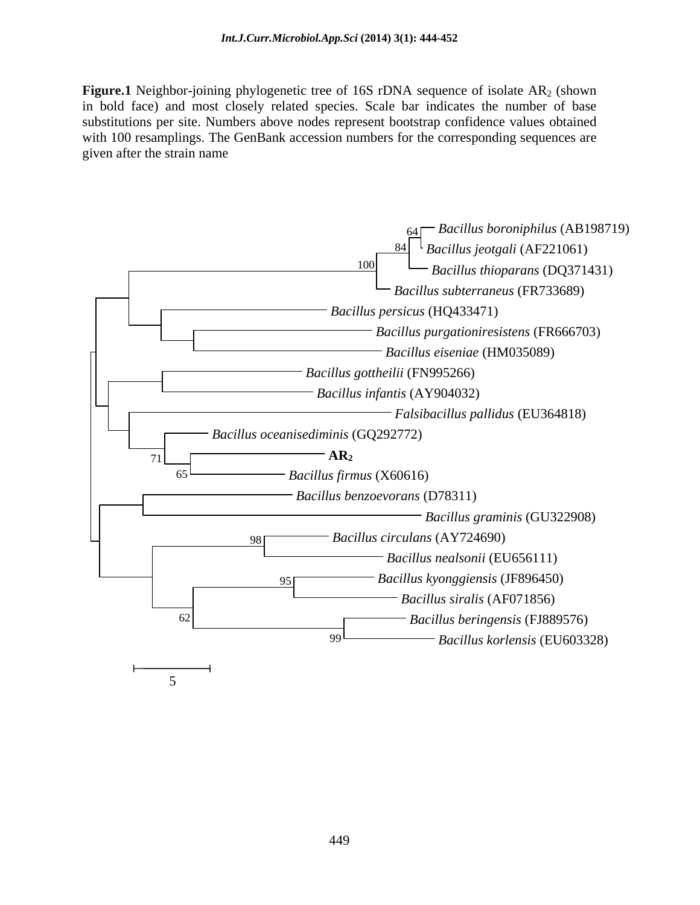**Figure.1** Neighbor-joining phylogenetic tree of 16S rDNA sequence of isolate AR<sub>2</sub> (shown in bold face) and most closely related species. Scalebar indicates the number of base substitutions per site. Numbers above nodes represent bootstrap confidence values obtained with 100 resamplings. The GenBank accession numbers for the corresponding sequences are given after the strain name

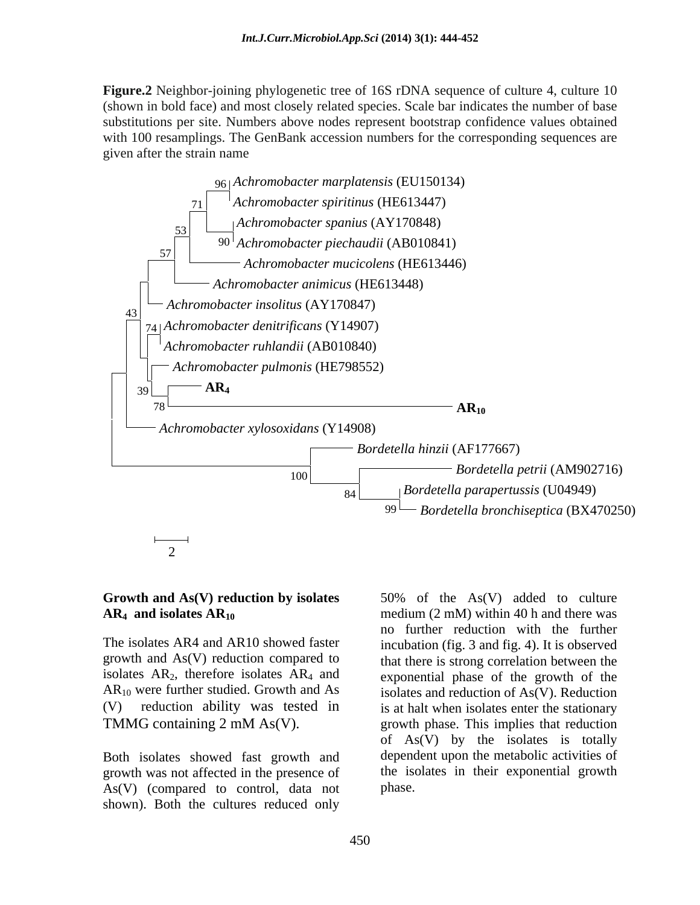**Figure.2** Neighbor-joining phylogenetic tree of 16S rDNA sequence of culture 4, culture 10 (shown in bold face) and most closely related species. Scale bar indicates the numberof base substitutions per site. Numbers above nodes represent bootstrap confidence values obtained with 100 resamplings. The GenBank accession numbers for the corresponding sequences are given after the strain name



growth and As(V) reduction compared to isolates  $AR_2$ , therefore isolates  $AR_4$  and

Both isolates showed fast growth and growth was not affected in the presence of As(V) (compared to control, data not shown). Both the cultures reduced only

**Growth and As(V) reduction by isolates**  50% of the As(V) added to culture **AR<sub>4</sub>** and isolates  $AR_{10}$  medium (2 mM) within 40 h and there was The isolates AR4 and AR10 showed faster incubation (fig. 3 and fig. 4). It is observed  $AR_{10}$  were further studied. Growth and As isolates and reduction of As(V). Reduction (V) reduction ability was tested in is at halt when isolates enter the stationary TMMG containing 2 mM As(V). growth phase. This implies that reduction no further reduction with the further that there is strong correlation between the exponential phase of the growth of the of  $As(V)$  by the isolates is totally dependent upon the metabolic activities of the isolates in their exponential growth phase.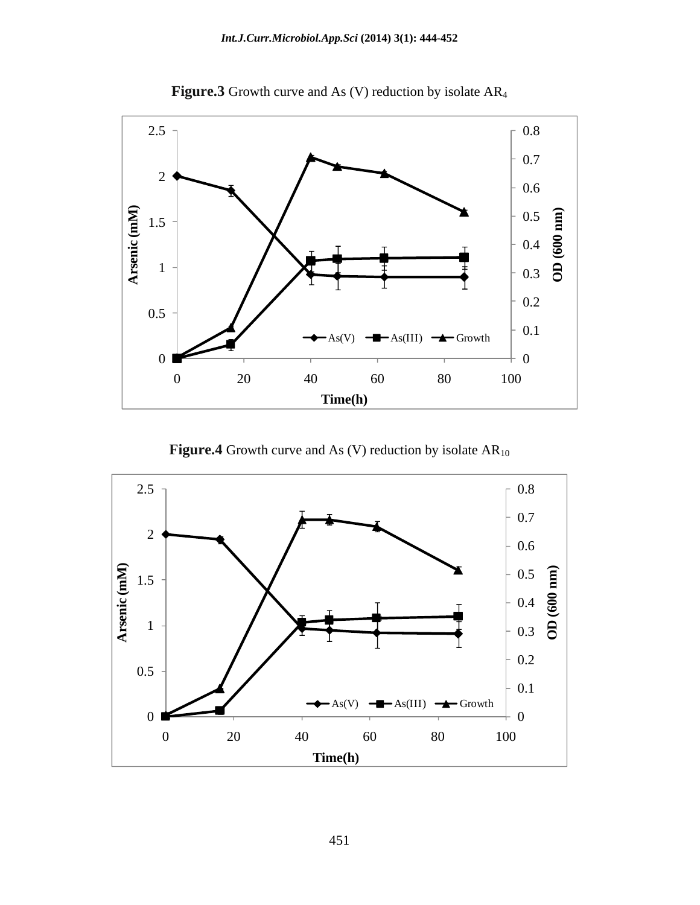

**Figure.3** Growth curve and As (V) reduction by isolate AR4

**Figure.4** Growth curve and As (V) reduction by isolate  $AR_{10}$